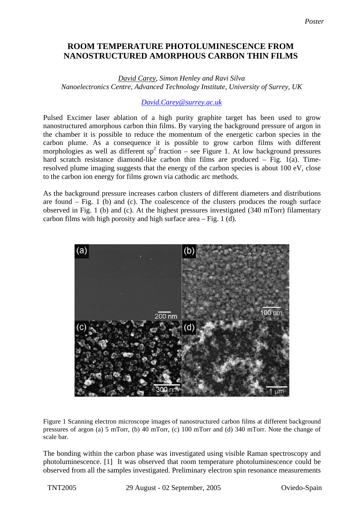## **ROOM TEMPERATURE PHOTOLUMINESCENCE FROM Carbon Thin Films NANOSTRUCTURED AMORPHOUS CARBON THIN FILMS**

*David Carey, Simon Henley and Ravi Silva Nanoelectronics Centre, Advanced Technology Institute, University of Surrey, UK* 

## *[David.Carey@surrey.ac.uk](mailto:Contact@E-mail)*

Pulsed Excimer laser ablation of a high purity graphite target has been used to grow nanostructured amorphous carbon thin films. By varying the background pressure of argon in the chamber it is possible to reduce the momentum of the energetic carbon species in the carbon plume. As a consequence it is possible to grow carbon films with different morphologies as well as different  $sp^2$  fraction – see Figure 1. At low background pressures hard scratch resistance diamond-like carbon thin films are produced – Fig. 1(a). Timeresolved plume imaging suggests that the energy of the carbon species is about 100 eV, close to the carbon ion energy for films grown via cathodic arc methods.

As the background pressure increases carbon clusters of different diameters and distributions are found  $-$  Fig. 1 (b) and (c). The coalescence of the clusters produces the rough surface observed in Fig. 1 (b) and (c). At the highest pressures investigated (340 mTorr) filamentary carbon films with high porosity and high surface area – Fig. 1 (d).



Figure 1 Scanning electron microscope images of nanostructured carbon films at different background pressures of argon (a) 5 mTorr, (b) 40 mTorr, (c) 100 mTorr and (d) 340 mTorr. Note the change of scale bar.

The bonding within the carbon phase was investigated using visible Raman spectroscopy and photoluminescence. [1] It was observed that room temperature photoluminescence could be observed from all the samples investigated. Preliminary electron spin resonance measurements